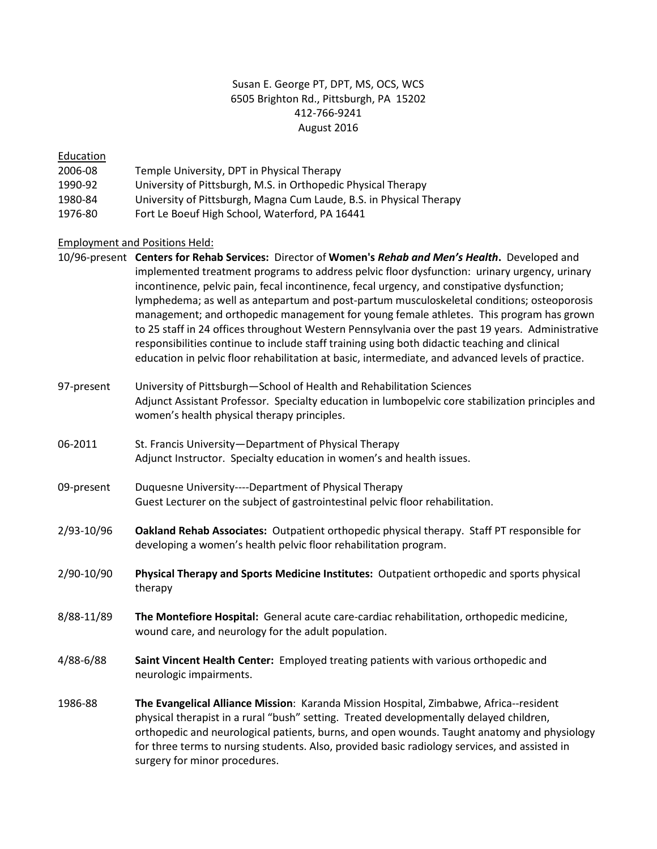# Susan E. George PT, DPT, MS, OCS, WCS 6505 Brighton Rd., Pittsburgh, PA 15202 412-766-9241 August 2016

# Education

- 2006-08 Temple University, DPT in Physical Therapy
- 1990-92 University of Pittsburgh, M.S. in Orthopedic Physical Therapy
- 1980-84 University of Pittsburgh, Magna Cum Laude, B.S. in Physical Therapy
- 1976-80 Fort Le Boeuf High School, Waterford, PA 16441

# Employment and Positions Held:

- 10/96-present **Centers for Rehab Services:** Director of **Women's** *Rehab and Men's Health***.** Developed and implemented treatment programs to address pelvic floor dysfunction: urinary urgency, urinary incontinence, pelvic pain, fecal incontinence, fecal urgency, and constipative dysfunction; lymphedema; as well as antepartum and post-partum musculoskeletal conditions; osteoporosis management; and orthopedic management for young female athletes. This program has grown to 25 staff in 24 offices throughout Western Pennsylvania over the past 19 years. Administrative responsibilities continue to include staff training using both didactic teaching and clinical education in pelvic floor rehabilitation at basic, intermediate, and advanced levels of practice.
- 97-present University of Pittsburgh—School of Health and Rehabilitation Sciences Adjunct Assistant Professor. Specialty education in lumbopelvic core stabilization principles and women's health physical therapy principles.
- 06-2011 St. Francis University—Department of Physical Therapy Adjunct Instructor. Specialty education in women's and health issues.
- 09-present Duquesne University----Department of Physical Therapy Guest Lecturer on the subject of gastrointestinal pelvic floor rehabilitation.
- 2/93-10/96 **Oakland Rehab Associates:** Outpatient orthopedic physical therapy. Staff PT responsible for developing a women's health pelvic floor rehabilitation program.
- 2/90-10/90 **Physical Therapy and Sports Medicine Institutes:** Outpatient orthopedic and sports physical therapy
- 8/88-11/89 **The Montefiore Hospital:** General acute care-cardiac rehabilitation, orthopedic medicine, wound care, and neurology for the adult population.
- 4/88-6/88 **Saint Vincent Health Center:** Employed treating patients with various orthopedic and neurologic impairments.
- 1986-88 **The Evangelical Alliance Mission**: Karanda Mission Hospital, Zimbabwe, Africa--resident physical therapist in a rural "bush" setting. Treated developmentally delayed children, orthopedic and neurological patients, burns, and open wounds. Taught anatomy and physiology for three terms to nursing students. Also, provided basic radiology services, and assisted in surgery for minor procedures.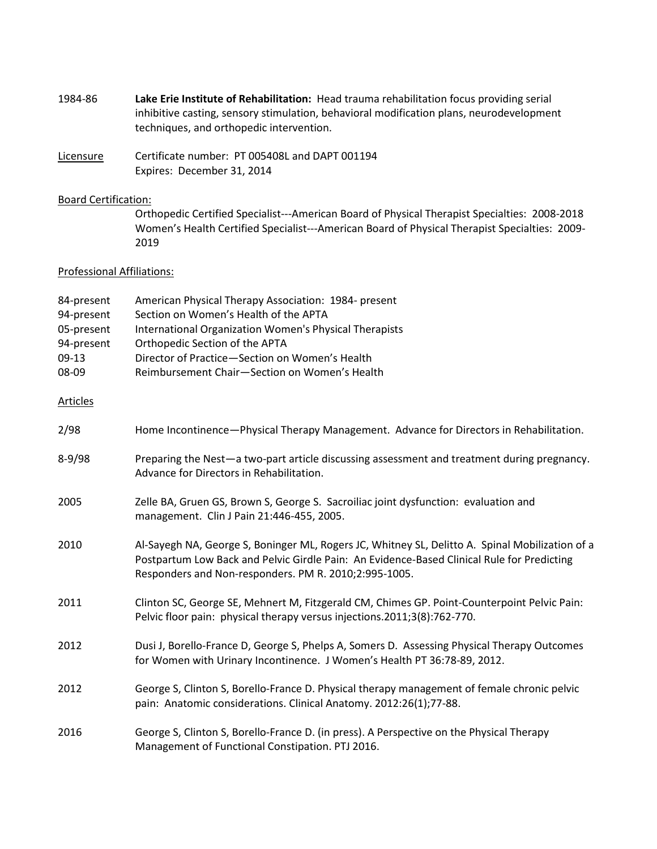- 1984-86 **Lake Erie Institute of Rehabilitation:** Head trauma rehabilitation focus providing serial inhibitive casting, sensory stimulation, behavioral modification plans, neurodevelopment techniques, and orthopedic intervention.
- Licensure Certificate number: PT 005408L and DAPT 001194 Expires: December 31, 2014

## Board Certification:

Orthopedic Certified Specialist---American Board of Physical Therapist Specialties: 2008-2018 Women's Health Certified Specialist---American Board of Physical Therapist Specialties: 2009- 2019

## Professional Affiliations:

| 84-present<br>94-present | American Physical Therapy Association: 1984- present<br>Section on Women's Health of the APTA                                                                                                                                                          |  |  |
|--------------------------|--------------------------------------------------------------------------------------------------------------------------------------------------------------------------------------------------------------------------------------------------------|--|--|
| 05-present               | <b>International Organization Women's Physical Therapists</b>                                                                                                                                                                                          |  |  |
| 94-present               | Orthopedic Section of the APTA                                                                                                                                                                                                                         |  |  |
| $09-13$                  | Director of Practice-Section on Women's Health                                                                                                                                                                                                         |  |  |
| 08-09                    | Reimbursement Chair-Section on Women's Health                                                                                                                                                                                                          |  |  |
| Articles                 |                                                                                                                                                                                                                                                        |  |  |
| 2/98                     | Home Incontinence-Physical Therapy Management. Advance for Directors in Rehabilitation.                                                                                                                                                                |  |  |
| $8 - 9/98$               | Preparing the Nest-a two-part article discussing assessment and treatment during pregnancy.<br>Advance for Directors in Rehabilitation.                                                                                                                |  |  |
| 2005                     | Zelle BA, Gruen GS, Brown S, George S. Sacroiliac joint dysfunction: evaluation and<br>management. Clin J Pain 21:446-455, 2005.                                                                                                                       |  |  |
| 2010                     | Al-Sayegh NA, George S, Boninger ML, Rogers JC, Whitney SL, Delitto A. Spinal Mobilization of a<br>Postpartum Low Back and Pelvic Girdle Pain: An Evidence-Based Clinical Rule for Predicting<br>Responders and Non-responders. PM R. 2010;2:995-1005. |  |  |
| 2011                     | Clinton SC, George SE, Mehnert M, Fitzgerald CM, Chimes GP. Point-Counterpoint Pelvic Pain:<br>Pelvic floor pain: physical therapy versus injections.2011;3(8):762-770.                                                                                |  |  |
| 2012                     | Dusi J, Borello-France D, George S, Phelps A, Somers D. Assessing Physical Therapy Outcomes<br>for Women with Urinary Incontinence. J Women's Health PT 36:78-89, 2012.                                                                                |  |  |
| 2012                     | George S, Clinton S, Borello-France D. Physical therapy management of female chronic pelvic<br>pain: Anatomic considerations. Clinical Anatomy. 2012:26(1);77-88.                                                                                      |  |  |
| 2016                     | George S, Clinton S, Borello-France D. (in press). A Perspective on the Physical Therapy<br>Management of Functional Constipation. PTJ 2016.                                                                                                           |  |  |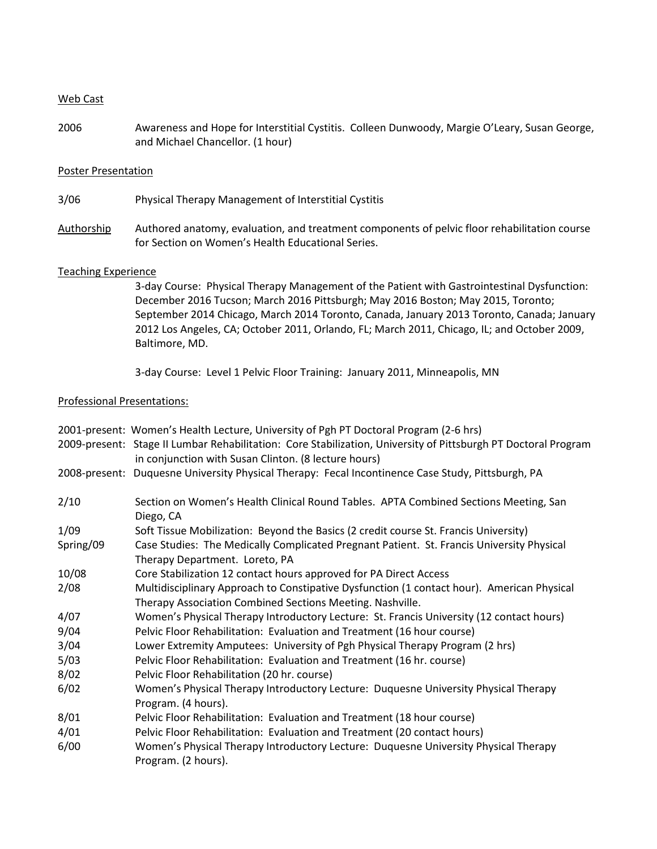### Web Cast

2006 Awareness and Hope for Interstitial Cystitis. Colleen Dunwoody, Margie O'Leary, Susan George, and Michael Chancellor. (1 hour)

### Poster Presentation

3/06 Physical Therapy Management of Interstitial Cystitis

Authorship Authored anatomy, evaluation, and treatment components of pelvic floor rehabilitation course for Section on Women's Health Educational Series.

#### Teaching Experience

3-day Course: Physical Therapy Management of the Patient with Gastrointestinal Dysfunction: December 2016 Tucson; March 2016 Pittsburgh; May 2016 Boston; May 2015, Toronto; September 2014 Chicago, March 2014 Toronto, Canada, January 2013 Toronto, Canada; January 2012 Los Angeles, CA; October 2011, Orlando, FL; March 2011, Chicago, IL; and October 2009, Baltimore, MD.

3-day Course: Level 1 Pelvic Floor Training: January 2011, Minneapolis, MN

## Professional Presentations:

|           | 2001-present: Women's Health Lecture, University of Pgh PT Doctoral Program (2-6 hrs)                                                                                  |
|-----------|------------------------------------------------------------------------------------------------------------------------------------------------------------------------|
|           | 2009-present: Stage II Lumbar Rehabilitation: Core Stabilization, University of Pittsburgh PT Doctoral Program<br>in conjunction with Susan Clinton. (8 lecture hours) |
|           | 2008-present: Duquesne University Physical Therapy: Fecal Incontinence Case Study, Pittsburgh, PA                                                                      |
| 2/10      | Section on Women's Health Clinical Round Tables. APTA Combined Sections Meeting, San<br>Diego, CA                                                                      |
| 1/09      | Soft Tissue Mobilization: Beyond the Basics (2 credit course St. Francis University)                                                                                   |
| Spring/09 | Case Studies: The Medically Complicated Pregnant Patient. St. Francis University Physical<br>Therapy Department. Loreto, PA                                            |
| 10/08     | Core Stabilization 12 contact hours approved for PA Direct Access                                                                                                      |
| 2/08      | Multidisciplinary Approach to Constipative Dysfunction (1 contact hour). American Physical<br>Therapy Association Combined Sections Meeting. Nashville.                |
| 4/07      | Women's Physical Therapy Introductory Lecture: St. Francis University (12 contact hours)                                                                               |
| 9/04      | Pelvic Floor Rehabilitation: Evaluation and Treatment (16 hour course)                                                                                                 |
| 3/04      | Lower Extremity Amputees: University of Pgh Physical Therapy Program (2 hrs)                                                                                           |
| 5/03      | Pelvic Floor Rehabilitation: Evaluation and Treatment (16 hr. course)                                                                                                  |
| 8/02      | Pelvic Floor Rehabilitation (20 hr. course)                                                                                                                            |
| 6/02      | Women's Physical Therapy Introductory Lecture: Duquesne University Physical Therapy<br>Program. (4 hours).                                                             |
| 8/01      | Pelvic Floor Rehabilitation: Evaluation and Treatment (18 hour course)                                                                                                 |
| 4/01      | Pelvic Floor Rehabilitation: Evaluation and Treatment (20 contact hours)                                                                                               |
| 6/00      | Women's Physical Therapy Introductory Lecture: Duquesne University Physical Therapy<br>Program. (2 hours).                                                             |
|           |                                                                                                                                                                        |